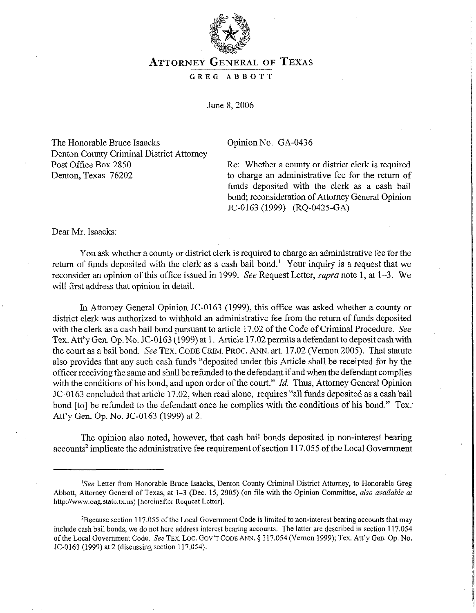

## **ATTORNEY GENERAL** OF **TEXAS**

## GREG ABBOTT

June 8.2006

The Honorable Bruce Isaacks Denton County Criminal District Attorney Post Office Box 2850 Denton, Texas 76202

Opinion No. GA-0436

Re: Whether a county or district clerk is required to charge an administrative fee for the return of funds deposited with the clerk as a cash bail bond; reconsideration of Attorney General Opinion JC-0163 (1999) (RQ-0425-GA)

Dear Mr. Isaacks:

You ask whether a county or district clerk is required to charge an administrative fee for the return of funds deposited with the clerk as a cash bail bond.' Your inquiry is a request that we reconsider an opinion of this office issued in 1999. See Request Letter, *supra* note 1, at 1-3. We will first address that opinion in detail.

In Attorney General Opinion JC-0163 (1999), this office was asked whether a county or district clerk was authorized to withhold an administrative fee from the return of funds deposited with the clerk as a cash bail bond pursuant to article 17.02 of the Code of Criminal Procedure. See Tex. Att'y Gen. Op. No. JC-0163 (1999) at 1. Article 17.02 permits a defendant to deposit cash with the court as a bail bond. See TEX. CODE GRIM. PROC. ANN. art. 17.02 (Vernon 2005). That statute also provides that any such cash funds "deposited under this Article shall be receipted for by the officer receiving the same and shall be refunded to the defendant if and when the defendant complies with the conditions of his bond, and upon order of the court."  $Id$ . Thus, Attorney General Opinion JC-0163 concluded that article 17.02, when read alone, requires "all funds deposited as a cash bail bond [to] be refunded to the defendant *once* he complies.with the conditions of his bond." Tex. Att'y Gen. Op. No. JC-0163 (1999) at 2.

The opinion also noted, however, that cash bail bonds deposited in non-interest bearing accounts' implicate the administrative fee requirement of section 117.055 of the Local Government

<sup>&#</sup>x27;See Letter from Honorable Bruce Isaacks, Denton County Criminal District Attorney, to Honorable Greg Abbott, Attorney General of Texas, at 1-3 (Dec. 15, 2005) (on tile with the Opinion Committee, also *available at*  http://www.oag.state.tx.us) [hereinafter Request Letter].

<sup>&</sup>lt;sup>2</sup>Because section 117.055 of the Local Government Code is limited to non-interest bearing accounts that may include cash bail bonds, we do not here address interest bearing accounts. The latter are described in section 117.054 ofthe Local Government Code. See TEX. LOC. Gov'TCODEANN. 3117.054 (Vernon 1999); Tex. Att'y Gen. Op. No. JC-0163 (1999) at 2 (discussing section 117.054).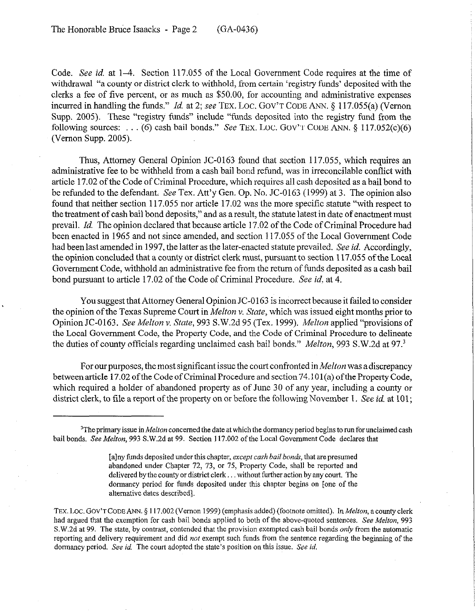Code. See id. at l-4. Section 117.055 of the Local Government Code requires at the time of withdrawal "a county or district clerk to withhold, from certain 'registry funds' deposited with the clerks a fee of five percent, or as much as \$50.00, for accounting and administrative expenses incurred in handling the funds." *Id.* at 2; see TEX. LOC. GOV'T CODE ANN. § 117.055(a) (Vernon Supp. 2005). These "registry funds" include "funds deposited into the registry fund from the following sources: . . . (6) cash bail bonds." See TEX. LOC. GOV'T CODE ANN.  $\S$  117.052(c)(6) (Vernon Supp. 2005).

Thus, Attorney General Opinion JC-0163 found that section 117.055, which requires an administrative fee to be withheld from a cash bail bond refund, was in irreconcilable conflict with article 17.02 of the Code of Criminal Procedure, which requires all cash deposited as a bail bond to be refunded to the defendant, See Tex. Att'y Gen. Op. No. JC-0163 (1999) at 3. The opinion also found that neither section 117.055 nor article 17.02 was the more specific statute "with respect to the treatment of cash bail bond deposits," and as aresult, the statute latest in date of enactment must prevail. *Id.* The opinion declared that because article 17.02 of the Code of Criminal Procedure had been enacted in 1965 and not since amended, and section 117.055 of the Local Government Code had been last amended in 1997, the latter as the later-enacted statute prevailed. See *id.* Accordingly, the opinion concluded that a county or district clerk must, pursuant to section 117.055 of the Local Government Code, withhold an administrative fee from the return of funds deposited as a cash bail bond pursuant to article 17.02 of the Code of Criminal Procedure. See *id.* at 4.

You suggest that Attorney General Opinion JC-0 163 is incorrect because it failed to consider the opinion of the Texas Supreme Court in *Melton* V. *State,* which was issued eight months prior to Opinion JC-0163. See *Melton* v. State, 993 S.W.2d 95 (Tex. 1999). *Melton* applied "provisions of the Local Government Code, the Property Code, and the Code of Criminal Procedure to delineate the duties of county officials regarding unclaimed cash bail bonds." *Melton, 993* S.W.2d at 97.3

For our purposes, the most significant issue the court confronted in *Melton* was a discrepancy between article 17.02 ofthe Code of Criminal Procedure and section 74.101(a) ofthe Property Code, which required a holder of abandoned property as of June 30 of any year, including a county or district clerk, to file a report of the property on or before the following November 1. See *id.* at 101;

TEX. LOC. GOV'T CODE ANN. § 117.002 (Vernon 1999) (emphasis added) (footnote omitted). In Melton, a county clerk had argued that the exemption for cash bail bonds applied to both of the above-quoted sentences. See Melton, 993 S.W.2d at 99. The state, by contrast, contended that the provision exempted cash bail bonds *only* from the automatic reporting and delivery requirement and did not exempt such funds from the sentence regarding the beginning of the dormancy period. See *id.* The court adopted the state's position on this issue. See *id.* 

<sup>&</sup>lt;sup>3</sup>The primary issue in *Melton* concerned the date at which the dormancy period begins to run for unclaimed cash bail bonds. See Melton, 993 S.W.2d at 99. Section 117.002 of the Local Government Code declares that

<sup>[</sup>a]ny funds deposited under this chapter, *except cash bail bonds*, that are presumed abandoned under Chapter 72, 73, or 75, Property Code, shall be reported and delivered by the county or district clerk... without further action by any court. The dormancy period for funds deposited under this chapter begins on [one of the alternative dates described].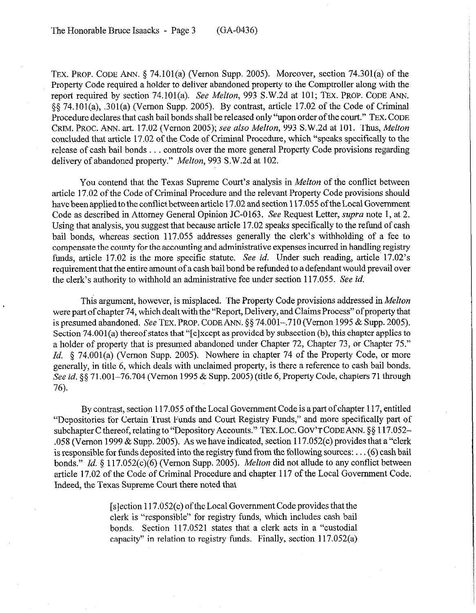TEx. PROP. CODE ANN. \$ 74.101(a) (Vernon Supp. 2005). Moreover, section 74.301(a) of the Property Code required a holder to deliver abandoned property to the Comptroller along with the report required by section 74.101(a). See *Melton, 993* S.W.2d at 101; TEX. PROP. CODE ANN.  $\S$  74.101(a), .301(a) (Vernon Supp. 2005). By contrast, article 17.02 of the Code of Criminal Procedure declares that cash bail bonds shall be released only "upon order of the court." TEX. CODE GRIM. PROC. ANN. art. 17.02 (Vernon 2005); see *also Melton, 993* S.W.2d at 101. Thus, *Melton*  concluded that article 17.02 of the Code of Criminal Procedure, which "speaks specifically to the release of cash bail bonds . . . controls over the more general Property Code provisions regarding delivery of abandoned property." *Melton, 993* S.W.2d at 102.

You contend that the Texas Supreme Court's analysis in *Melton* of the conflict between article 17.02 of the Code of Criminal Procedure and the relevant Property Code provisions should have been applied to the conflict between article 17.02 and section 117.055 of the Local Government Code as described in Attorney General Opinion JC-0163. See Request Letter, supra note 1, at 2. Using that analysis, you suggest that because article 17.02 speaks specifically to the refund of cash bail bonds, whereas section 117.055 addresses generally the clerk's withholding of a fee to compensate the county for the accounting and administrative expenses incurred in handling registry funds, article 17.02 is the more specific statute. See *id.* Under such reading, article 17.02's requirement that the entire amount of a cash bail bond be refunded to a defendant would prevail over the clerk's authority to withhold an administrative fee under section 117.055. See *id.* 

This argument, however, is misplaced. The Property Code provisions addressed in *Melton*  were part of chapter 74, which dealt with the "Report, Delivery, and Claims Process" of property that is presumed abandoned. See TEX. PROP. CODE ANN. §§ 74.001-,710 (Vernon 1995 & Supp. 2005). Section 74.001(a) thereof states that "[elxcept as provided by subsection (b), this chapter applies to a holder of property that is presumed abandoned under Chapter 72, Chapter 73, or Chapter 75." *Id.* § 74.001(a) (Vernon Supp. 2005). Nowhere in chapter 74 of the Property Code, or more generally, in title 6, which deals with unclaimed property, is there a reference to cash bail bonds. See *id.* § 5 71.001–76.704 (Vernon 1995 & Supp. 2005) (title 6, Property Code, chapters 71 through *76).* 

By contrast, section 117.055 of the Local Government Code is apart of chapter 117, entitled "Depositories for Certain Trust Funds and Court Registry Funds," and more specifically part of subchapter C thereof, relating to "Depository Accounts." TEX. LOC. GOV'T CODE ANN.  $\S$ § 117.052–  $0.058$  (Vernon 1999 & Supp. 2005). As we have indicated, section 117.052(c) provides that a "clerk is responsible for funds deposited into the registry fund from the following sources: . (6) cash bail bonds." *Id.* § 117.052(c)(6) (Vernon Supp. 2005). *Melton* did not allude to any conflict between article 17.02 of the Code of Criminal Procedure and chapter 117 of the Local Government Code. Indeed, the Texas Supreme Court there noted that

> $[s]$  ection 117.052(c) of the Local Government Code provides that the clerk is "responsible" for registry funds, which includes cash bail bonds. Section 117.0521 states that a clerk acts in a "custodial capacity" in relation to registry funds. Finally, section 117.052(a)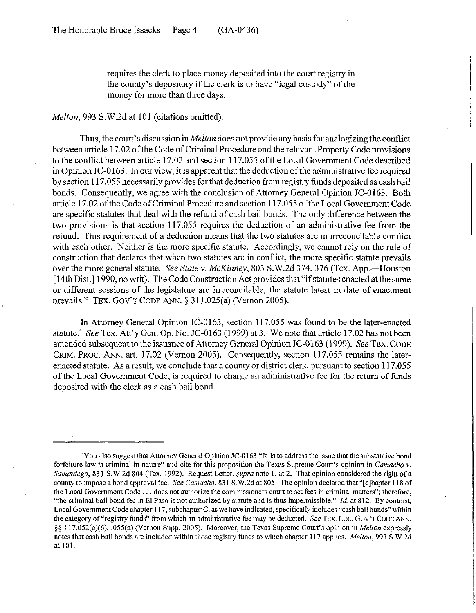requires the clerk to place money deposited into the court registry in the county's depository if the clerk is to have "legal custody" of the money for more than three days.

*Melton,* 993 S.W.2d at 101 (citations omitted).

Thus, the court's discussion in *Melton* does not provide any basis for analogizing the conflict between article 17.02 of the Code of Criminal Procedure and the relevant Property Code provisions to the conflict between article 17.02 and section 117.055 of the Local Government Code described in Opinion JC-0 163. In our view, it *is* apparent that the deduction of the administrative fee required by section 117.055 necessarily provides for that deduction from registry funds deposited as cash bail bonds. Consequently, we agree with the conclusion of Attorney General Opinion JC-0163. Both article 17.02 of the Code of Criminal Procedure and section 117.055 of the Local Government Code are specific statutes that deal with the refund of cash bail bonds. The only difference between the two provisions is that section 117.055 requires the deduction of an administrative fee from the refund. This requirement of a deduction means that the two statutes are in irreconcilable conflict with each other. Neither is the more specific statute. Accordingly, we cannot rely on the rule of construction that declares that when two statutes are in conflict, the more specific statute prevails over the more general statute. *See State v. McKinney*, 803 S.W.2d 374, 376 (Tex. App.—Houston [ 14th Dist.] 1990, no writ). The Code Construction Act provides that "if statutes enacted at the same or different sessions of the legislature are irreconcilable, the statute latest in date of enactment prevails." TEX. GOV'T CODE ANN. 5 311.025(a) (Vernon 2005).

In Attorney General Opinion JC-0163, section 117.055 was found to be the later-enacted statute.<sup>4</sup> See Tex. Att'y Gen. Op. No. JC-0163 (1999) at 3. We note that article 17.02 has not been amended subsequent to the issuance of Attorney General Opinion JC-0163 (1999). See TEX. CODE CRJM. PROC. ANN. art. 17.02 (Vernon 2005). Consequently, section 117.055 remains the laterenacted statute. As a result, we conclude that a county or district clerk, pursuant to section 117.055 of the Local Government Code, is required to charge an administrative fee for the return of funds deposited with the clerk as a cash bail bond.

<sup>&#</sup>x27;You also suggest that Attorney General Opinion X-0163 "fails to address the issue that the substantive bond forfeiture law is criminal in nature" and cite for this proposition the Texas Supreme Court's opinion in *Camacho v.*  Samaniego, 831 S.W.2d 804 (Tex. 1992). Request Letter, *supra* note 1, at 2. That opinion considered the right of a county to impose a bond approval fee. See *Carnacho,* 83 1 S.W.2d at 805. The opinion declared that "[clhapter 118 of the Local Government Code . . . does not authorize the commissioners court to set fees in criminal matters"; therefore, "the criminal bail bond fee in El Paso is not authorized by statute and is thus impermissible." Id. at 812. By contrast, Local Government Code chapter 117, subchapter C, as we have indicated, specifically includes "cash bail bonds" within the category of "registry funds" from which an administrative fee may be deducted. See TEX. LOC. GOV'T CODE ANN. §§ 117.052(c)(6), .055(a) (Vernon Supp. 2005). Moreover, the Texas Supreme Court's opinion in *Melton* expressly notes that cash bail bonds are included within those registry funds to which chapter 117 applies. Melton, 993 S.W.2d at 101.